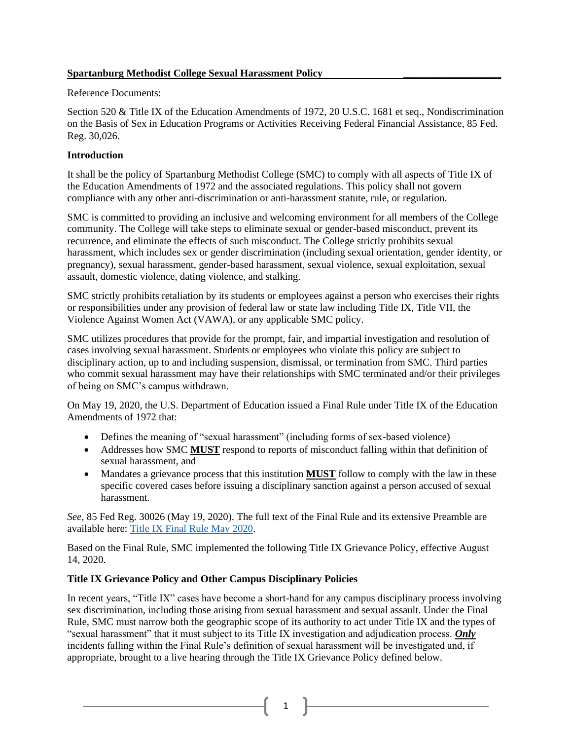## **Spartanburg Methodist College Sexual Harassment Policy \_\_\_\_\_\_\_\_\_\_\_\_\_\_\_\_\_\_\_**

## Reference Documents:

Section 520 & Title IX of the Education Amendments of 1972, 20 U.S.C. 1681 et seq., Nondiscrimination on the Basis of Sex in Education Programs or Activities Receiving Federal Financial Assistance, 85 Fed. Reg. 30,026.

## **Introduction**

It shall be the policy of Spartanburg Methodist College (SMC) to comply with all aspects of Title IX of the Education Amendments of 1972 and the associated regulations. This policy shall not govern compliance with any other anti-discrimination or anti-harassment statute, rule, or regulation.

SMC is committed to providing an inclusive and welcoming environment for all members of the College community. The College will take steps to eliminate sexual or gender-based misconduct, prevent its recurrence, and eliminate the effects of such misconduct. The College strictly prohibits sexual harassment, which includes sex or gender discrimination (including sexual orientation, gender identity, or pregnancy), sexual harassment, gender-based harassment, sexual violence, sexual exploitation, sexual assault, domestic violence, dating violence, and stalking.

SMC strictly prohibits retaliation by its students or employees against a person who exercises their rights or responsibilities under any provision of federal law or state law including Title IX, Title VII, the Violence Against Women Act (VAWA), or any applicable SMC policy.

SMC utilizes procedures that provide for the prompt, fair, and impartial investigation and resolution of cases involving sexual harassment. Students or employees who violate this policy are subject to disciplinary action, up to and including suspension, dismissal, or termination from SMC. Third parties who commit sexual harassment may have their relationships with SMC terminated and/or their privileges of being on SMC's campus withdrawn.

On May 19, 2020, the U.S. Department of Education issued a Final Rule under Title IX of the Education Amendments of 1972 that:

- Defines the meaning of "sexual harassment" (including forms of sex-based violence)
- Addresses how SMC **MUST** respond to reports of misconduct falling within that definition of sexual harassment, and
- Mandates a grievance process that this institution **MUST** follow to comply with the law in these specific covered cases before issuing a disciplinary sanction against a person accused of sexual harassment.

*See,* 85 Fed Reg. 30026 (May 19, 2020). The full text of the Final Rule and its extensive Preamble are available here: [Title IX Final Rule May 2020.](https://www.federalregister.gov/documents/2020/05/19/2020-10512/nondiscrimination-on-the-basis-of-sex-in-education-programs-or-activities-receiving-federal)

Based on the Final Rule, SMC implemented the following Title IX Grievance Policy, effective August 14, 2020.

# **Title IX Grievance Policy and Other Campus Disciplinary Policies**

In recent years, "Title IX" cases have become a short-hand for any campus disciplinary process involving sex discrimination, including those arising from sexual harassment and sexual assault. Under the Final Rule, SMC must narrow both the geographic scope of its authority to act under Title IX and the types of "sexual harassment" that it must subject to its Title IX investigation and adjudication process. *Only* incidents falling within the Final Rule's definition of sexual harassment will be investigated and, if appropriate, brought to a live hearing through the Title IX Grievance Policy defined below.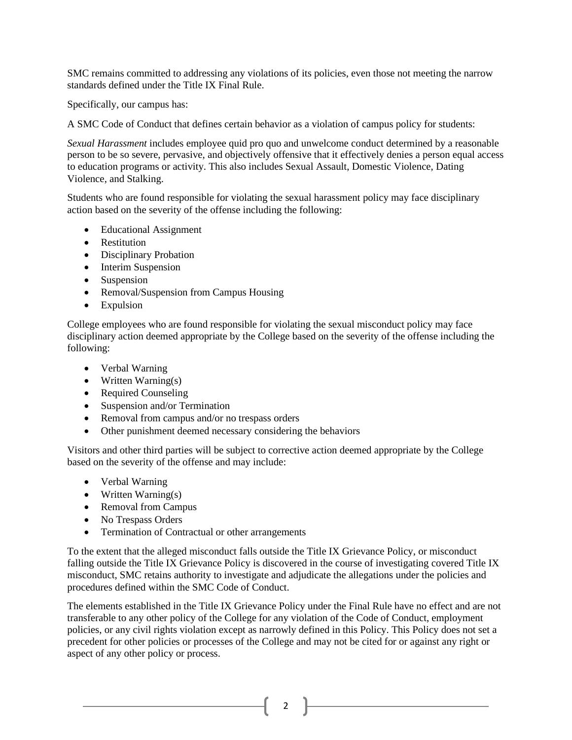SMC remains committed to addressing any violations of its policies, even those not meeting the narrow standards defined under the Title IX Final Rule.

Specifically, our campus has:

A SMC Code of Conduct that defines certain behavior as a violation of campus policy for students:

*Sexual Harassment* includes employee quid pro quo and unwelcome conduct determined by a reasonable person to be so severe, pervasive, and objectively offensive that it effectively denies a person equal access to education programs or activity. This also includes Sexual Assault, Domestic Violence, Dating Violence, and Stalking.

Students who are found responsible for violating the sexual harassment policy may face disciplinary action based on the severity of the offense including the following:

- Educational Assignment
- Restitution
- Disciplinary Probation
- Interim Suspension
- Suspension
- Removal/Suspension from Campus Housing
- Expulsion

College employees who are found responsible for violating the sexual misconduct policy may face disciplinary action deemed appropriate by the College based on the severity of the offense including the following:

- Verbal Warning
- Written Warning(s)
- Required Counseling
- Suspension and/or Termination
- Removal from campus and/or no trespass orders
- Other punishment deemed necessary considering the behaviors

Visitors and other third parties will be subject to corrective action deemed appropriate by the College based on the severity of the offense and may include:

- Verbal Warning
- Written Warning(s)
- Removal from Campus
- No Trespass Orders
- Termination of Contractual or other arrangements

To the extent that the alleged misconduct falls outside the Title IX Grievance Policy, or misconduct falling outside the Title IX Grievance Policy is discovered in the course of investigating covered Title IX misconduct, SMC retains authority to investigate and adjudicate the allegations under the policies and procedures defined within the SMC Code of Conduct.

The elements established in the Title IX Grievance Policy under the Final Rule have no effect and are not transferable to any other policy of the College for any violation of the Code of Conduct, employment policies, or any civil rights violation except as narrowly defined in this Policy. This Policy does not set a precedent for other policies or processes of the College and may not be cited for or against any right or aspect of any other policy or process.

2  $\uparrow$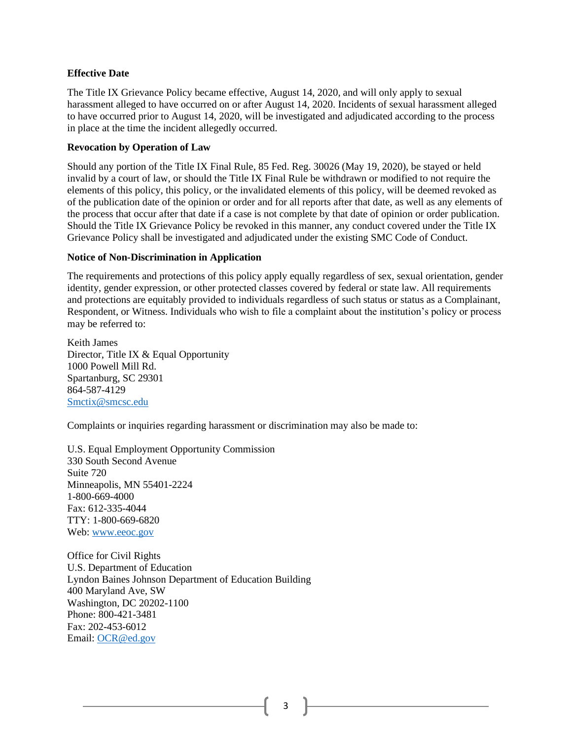#### **Effective Date**

The Title IX Grievance Policy became effective, August 14, 2020, and will only apply to sexual harassment alleged to have occurred on or after August 14, 2020. Incidents of sexual harassment alleged to have occurred prior to August 14, 2020, will be investigated and adjudicated according to the process in place at the time the incident allegedly occurred.

#### **Revocation by Operation of Law**

Should any portion of the Title IX Final Rule, 85 Fed. Reg. 30026 (May 19, 2020), be stayed or held invalid by a court of law, or should the Title IX Final Rule be withdrawn or modified to not require the elements of this policy, this policy, or the invalidated elements of this policy, will be deemed revoked as of the publication date of the opinion or order and for all reports after that date, as well as any elements of the process that occur after that date if a case is not complete by that date of opinion or order publication. Should the Title IX Grievance Policy be revoked in this manner, any conduct covered under the Title IX Grievance Policy shall be investigated and adjudicated under the existing SMC Code of Conduct.

#### **Notice of Non-Discrimination in Application**

The requirements and protections of this policy apply equally regardless of sex, sexual orientation, gender identity, gender expression, or other protected classes covered by federal or state law. All requirements and protections are equitably provided to individuals regardless of such status or status as a Complainant, Respondent, or Witness. Individuals who wish to file a complaint about the institution's policy or process may be referred to:

Keith James Director, Title IX & Equal Opportunity 1000 Powell Mill Rd. Spartanburg, SC 29301 864-587-4129 [Smctix@smcsc.edu](mailto:Smctix@smcsc.edu)

Complaints or inquiries regarding harassment or discrimination may also be made to:

U.S. Equal Employment Opportunity Commission 330 South Second Avenue Suite 720 Minneapolis, MN 55401-2224 1-800-669-4000 Fax: 612-335-4044 TTY: 1-800-669-6820 Web: [www.eeoc.gov](http://www.eeoc.gov/)

Office for Civil Rights U.S. Department of Education Lyndon Baines Johnson Department of Education Building 400 Maryland Ave, SW Washington, DC 20202-1100 Phone: 800-421-3481 Fax: 202-453-6012 Email: [OCR@ed.gov](mailto:OCR@ed.gov)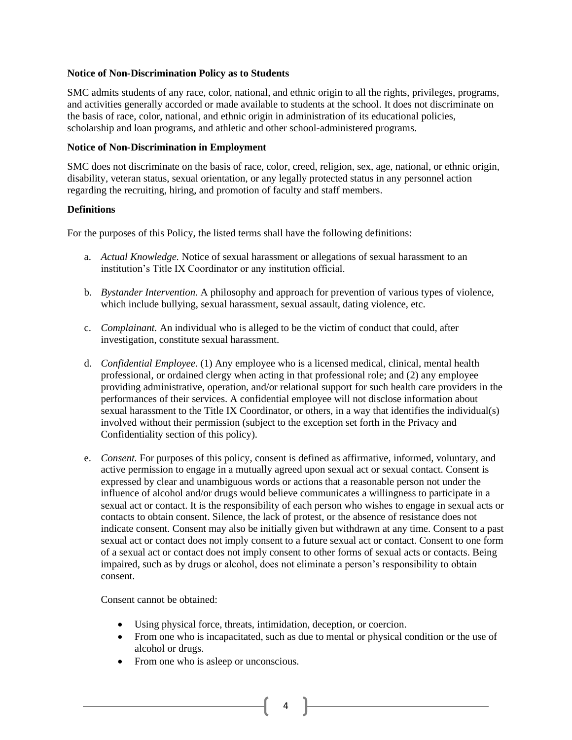#### **Notice of Non-Discrimination Policy as to Students**

SMC admits students of any race, color, national, and ethnic origin to all the rights, privileges, programs, and activities generally accorded or made available to students at the school. It does not discriminate on the basis of race, color, national, and ethnic origin in administration of its educational policies, scholarship and loan programs, and athletic and other school-administered programs.

#### **Notice of Non-Discrimination in Employment**

SMC does not discriminate on the basis of race, color, creed, religion, sex, age, national, or ethnic origin, disability, veteran status, sexual orientation, or any legally protected status in any personnel action regarding the recruiting, hiring, and promotion of faculty and staff members.

#### **Definitions**

For the purposes of this Policy, the listed terms shall have the following definitions:

- a. *Actual Knowledge.* Notice of sexual harassment or allegations of sexual harassment to an institution's Title IX Coordinator or any institution official.
- b. *Bystander Intervention.* A philosophy and approach for prevention of various types of violence, which include bullying, sexual harassment, sexual assault, dating violence, etc.
- c. *Complainant.* An individual who is alleged to be the victim of conduct that could, after investigation, constitute sexual harassment.
- d. *Confidential Employee.* (1) Any employee who is a licensed medical, clinical, mental health professional, or ordained clergy when acting in that professional role; and (2) any employee providing administrative, operation, and/or relational support for such health care providers in the performances of their services. A confidential employee will not disclose information about sexual harassment to the Title IX Coordinator, or others, in a way that identifies the individual(s) involved without their permission (subject to the exception set forth in the Privacy and Confidentiality section of this policy).
- e. *Consent.* For purposes of this policy, consent is defined as affirmative, informed, voluntary, and active permission to engage in a mutually agreed upon sexual act or sexual contact. Consent is expressed by clear and unambiguous words or actions that a reasonable person not under the influence of alcohol and/or drugs would believe communicates a willingness to participate in a sexual act or contact. It is the responsibility of each person who wishes to engage in sexual acts or contacts to obtain consent. Silence, the lack of protest, or the absence of resistance does not indicate consent. Consent may also be initially given but withdrawn at any time. Consent to a past sexual act or contact does not imply consent to a future sexual act or contact. Consent to one form of a sexual act or contact does not imply consent to other forms of sexual acts or contacts. Being impaired, such as by drugs or alcohol, does not eliminate a person's responsibility to obtain consent.

Consent cannot be obtained:

- Using physical force, threats, intimidation, deception, or coercion.
- From one who is incapacitated, such as due to mental or physical condition or the use of alcohol or drugs.

 $4 \quad \mathbb{R}$ 

• From one who is a sleep or unconscious.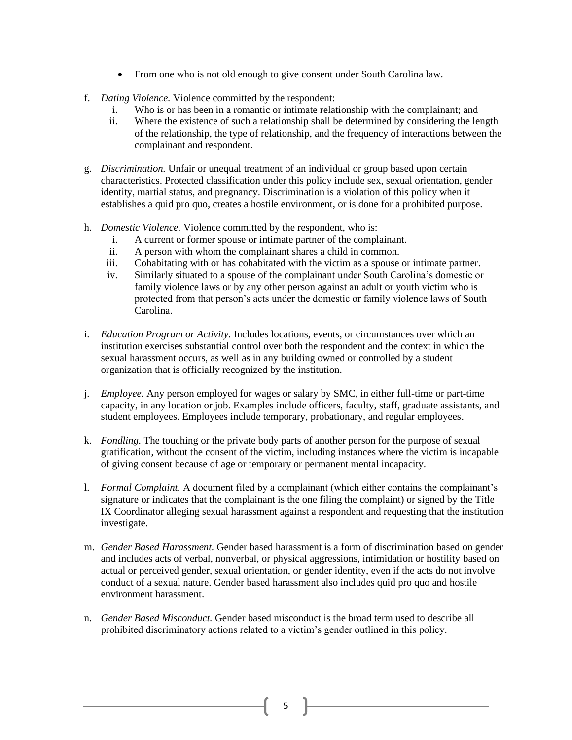- From one who is not old enough to give consent under South Carolina law.
- f. *Dating Violence.* Violence committed by the respondent:
	- i. Who is or has been in a romantic or intimate relationship with the complainant; and
	- ii. Where the existence of such a relationship shall be determined by considering the length of the relationship, the type of relationship, and the frequency of interactions between the complainant and respondent.
- g. *Discrimination.* Unfair or unequal treatment of an individual or group based upon certain characteristics. Protected classification under this policy include sex, sexual orientation, gender identity, martial status, and pregnancy. Discrimination is a violation of this policy when it establishes a quid pro quo, creates a hostile environment, or is done for a prohibited purpose.
- h. *Domestic Violence.* Violence committed by the respondent, who is:
	- i. A current or former spouse or intimate partner of the complainant.
	- ii. A person with whom the complainant shares a child in common.
	- iii. Cohabitating with or has cohabitated with the victim as a spouse or intimate partner.
	- iv. Similarly situated to a spouse of the complainant under South Carolina's domestic or family violence laws or by any other person against an adult or youth victim who is protected from that person's acts under the domestic or family violence laws of South Carolina.
- i. *Education Program or Activity.* Includes locations, events, or circumstances over which an institution exercises substantial control over both the respondent and the context in which the sexual harassment occurs, as well as in any building owned or controlled by a student organization that is officially recognized by the institution.
- j. *Employee.* Any person employed for wages or salary by SMC, in either full-time or part-time capacity, in any location or job. Examples include officers, faculty, staff, graduate assistants, and student employees. Employees include temporary, probationary, and regular employees.
- k. *Fondling.* The touching or the private body parts of another person for the purpose of sexual gratification, without the consent of the victim, including instances where the victim is incapable of giving consent because of age or temporary or permanent mental incapacity.
- l. *Formal Complaint.* A document filed by a complainant (which either contains the complainant's signature or indicates that the complainant is the one filing the complaint) or signed by the Title IX Coordinator alleging sexual harassment against a respondent and requesting that the institution investigate.
- m. *Gender Based Harassment.* Gender based harassment is a form of discrimination based on gender and includes acts of verbal, nonverbal, or physical aggressions, intimidation or hostility based on actual or perceived gender, sexual orientation, or gender identity, even if the acts do not involve conduct of a sexual nature. Gender based harassment also includes quid pro quo and hostile environment harassment.
- n. *Gender Based Misconduct.* Gender based misconduct is the broad term used to describe all prohibited discriminatory actions related to a victim's gender outlined in this policy.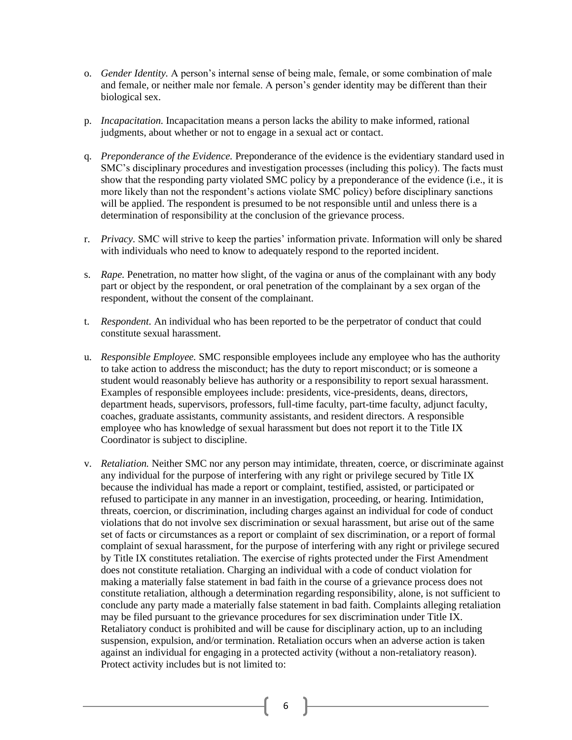- o. *Gender Identity.* A person's internal sense of being male, female, or some combination of male and female, or neither male nor female. A person's gender identity may be different than their biological sex.
- p. *Incapacitation.* Incapacitation means a person lacks the ability to make informed, rational judgments, about whether or not to engage in a sexual act or contact.
- q. *Preponderance of the Evidence.* Preponderance of the evidence is the evidentiary standard used in SMC's disciplinary procedures and investigation processes (including this policy). The facts must show that the responding party violated SMC policy by a preponderance of the evidence (i.e., it is more likely than not the respondent's actions violate SMC policy) before disciplinary sanctions will be applied. The respondent is presumed to be not responsible until and unless there is a determination of responsibility at the conclusion of the grievance process.
- r. *Privacy.* SMC will strive to keep the parties' information private. Information will only be shared with individuals who need to know to adequately respond to the reported incident.
- s. *Rape.* Penetration, no matter how slight, of the vagina or anus of the complainant with any body part or object by the respondent, or oral penetration of the complainant by a sex organ of the respondent, without the consent of the complainant.
- t. *Respondent.* An individual who has been reported to be the perpetrator of conduct that could constitute sexual harassment.
- u. *Responsible Employee.* SMC responsible employees include any employee who has the authority to take action to address the misconduct; has the duty to report misconduct; or is someone a student would reasonably believe has authority or a responsibility to report sexual harassment. Examples of responsible employees include: presidents, vice-presidents, deans, directors, department heads, supervisors, professors, full-time faculty, part-time faculty, adjunct faculty, coaches, graduate assistants, community assistants, and resident directors. A responsible employee who has knowledge of sexual harassment but does not report it to the Title IX Coordinator is subject to discipline.
- v. *Retaliation.* Neither SMC nor any person may intimidate, threaten, coerce, or discriminate against any individual for the purpose of interfering with any right or privilege secured by Title IX because the individual has made a report or complaint, testified, assisted, or participated or refused to participate in any manner in an investigation, proceeding, or hearing. Intimidation, threats, coercion, or discrimination, including charges against an individual for code of conduct violations that do not involve sex discrimination or sexual harassment, but arise out of the same set of facts or circumstances as a report or complaint of sex discrimination, or a report of formal complaint of sexual harassment, for the purpose of interfering with any right or privilege secured by Title IX constitutes retaliation. The exercise of rights protected under the First Amendment does not constitute retaliation. Charging an individual with a code of conduct violation for making a materially false statement in bad faith in the course of a grievance process does not constitute retaliation, although a determination regarding responsibility, alone, is not sufficient to conclude any party made a materially false statement in bad faith. Complaints alleging retaliation may be filed pursuant to the grievance procedures for sex discrimination under Title IX. Retaliatory conduct is prohibited and will be cause for disciplinary action, up to an including suspension, expulsion, and/or termination. Retaliation occurs when an adverse action is taken against an individual for engaging in a protected activity (without a non-retaliatory reason). Protect activity includes but is not limited to:

 $6 \quad \}$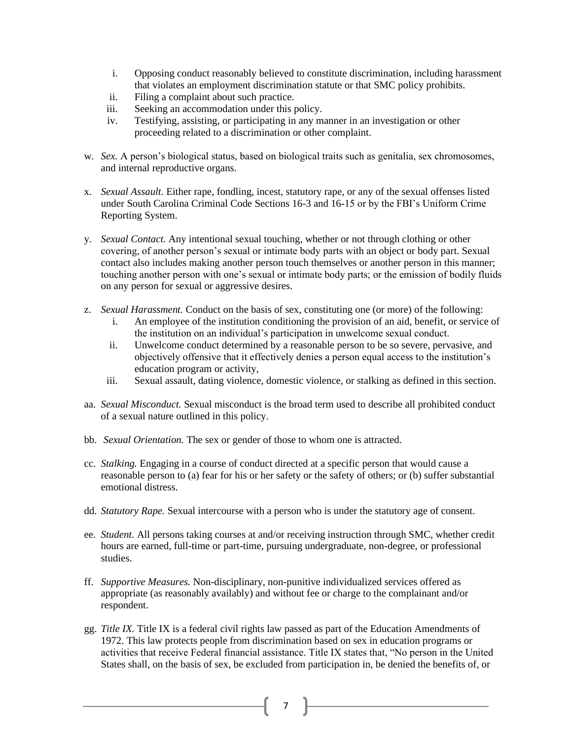- i. Opposing conduct reasonably believed to constitute discrimination, including harassment that violates an employment discrimination statute or that SMC policy prohibits.
- ii. Filing a complaint about such practice.
- iii. Seeking an accommodation under this policy.
- iv. Testifying, assisting, or participating in any manner in an investigation or other proceeding related to a discrimination or other complaint.
- w. *Sex.* A person's biological status, based on biological traits such as genitalia, sex chromosomes, and internal reproductive organs.
- x. *Sexual Assault.* Either rape, fondling, incest, statutory rape, or any of the sexual offenses listed under South Carolina Criminal Code Sections 16-3 and 16-15 or by the FBI's Uniform Crime Reporting System.
- y. *Sexual Contact.* Any intentional sexual touching, whether or not through clothing or other covering, of another person's sexual or intimate body parts with an object or body part. Sexual contact also includes making another person touch themselves or another person in this manner; touching another person with one's sexual or intimate body parts; or the emission of bodily fluids on any person for sexual or aggressive desires.
- z. *Sexual Harassment.* Conduct on the basis of sex, constituting one (or more) of the following:
	- i. An employee of the institution conditioning the provision of an aid, benefit, or service of the institution on an individual's participation in unwelcome sexual conduct.
	- ii. Unwelcome conduct determined by a reasonable person to be so severe, pervasive, and objectively offensive that it effectively denies a person equal access to the institution's education program or activity,
	- iii. Sexual assault, dating violence, domestic violence, or stalking as defined in this section.
- aa. *Sexual Misconduct.* Sexual misconduct is the broad term used to describe all prohibited conduct of a sexual nature outlined in this policy.
- bb. *Sexual Orientation.* The sex or gender of those to whom one is attracted.
- cc. *Stalking.* Engaging in a course of conduct directed at a specific person that would cause a reasonable person to (a) fear for his or her safety or the safety of others; or (b) suffer substantial emotional distress.
- dd. *Statutory Rape.* Sexual intercourse with a person who is under the statutory age of consent.
- ee. *Student.* All persons taking courses at and/or receiving instruction through SMC, whether credit hours are earned, full-time or part-time, pursuing undergraduate, non-degree, or professional studies.
- ff. *Supportive Measures.* Non-disciplinary, non-punitive individualized services offered as appropriate (as reasonably availably) and without fee or charge to the complainant and/or respondent.
- gg. *Title IX.* Title IX is a federal civil rights law passed as part of the Education Amendments of 1972. This law protects people from discrimination based on sex in education programs or activities that receive Federal financial assistance. Title IX states that, "No person in the United States shall, on the basis of sex, be excluded from participation in, be denied the benefits of, or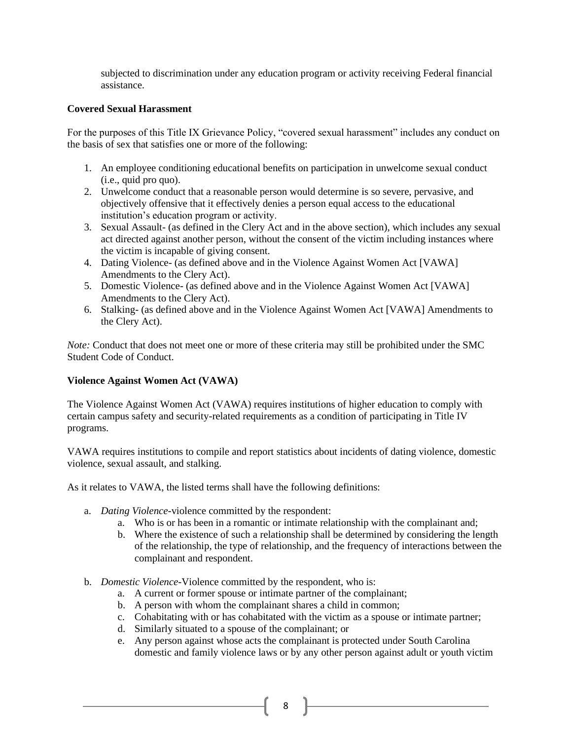subjected to discrimination under any education program or activity receiving Federal financial assistance.

## **Covered Sexual Harassment**

For the purposes of this Title IX Grievance Policy, "covered sexual harassment" includes any conduct on the basis of sex that satisfies one or more of the following:

- 1. An employee conditioning educational benefits on participation in unwelcome sexual conduct (i.e., quid pro quo).
- 2. Unwelcome conduct that a reasonable person would determine is so severe, pervasive, and objectively offensive that it effectively denies a person equal access to the educational institution's education program or activity.
- 3. Sexual Assault- (as defined in the Clery Act and in the above section), which includes any sexual act directed against another person, without the consent of the victim including instances where the victim is incapable of giving consent.
- 4. Dating Violence- (as defined above and in the Violence Against Women Act [VAWA] Amendments to the Clery Act).
- 5. Domestic Violence- (as defined above and in the Violence Against Women Act [VAWA] Amendments to the Clery Act).
- 6. Stalking- (as defined above and in the Violence Against Women Act [VAWA] Amendments to the Clery Act).

*Note:* Conduct that does not meet one or more of these criteria may still be prohibited under the SMC Student Code of Conduct.

### **Violence Against Women Act (VAWA)**

The Violence Against Women Act (VAWA) requires institutions of higher education to comply with certain campus safety and security-related requirements as a condition of participating in Title IV programs.

VAWA requires institutions to compile and report statistics about incidents of dating violence, domestic violence, sexual assault, and stalking.

As it relates to VAWA, the listed terms shall have the following definitions:

- a. *Dating Violence-*violence committed by the respondent:
	- a. Who is or has been in a romantic or intimate relationship with the complainant and;
	- b. Where the existence of such a relationship shall be determined by considering the length of the relationship, the type of relationship, and the frequency of interactions between the complainant and respondent.
- b. *Domestic Violence-*Violence committed by the respondent, who is:
	- a. A current or former spouse or intimate partner of the complainant;
	- b. A person with whom the complainant shares a child in common;
	- c. Cohabitating with or has cohabitated with the victim as a spouse or intimate partner;
	- d. Similarly situated to a spouse of the complainant; or
	- e. Any person against whose acts the complainant is protected under South Carolina domestic and family violence laws or by any other person against adult or youth victim

8 |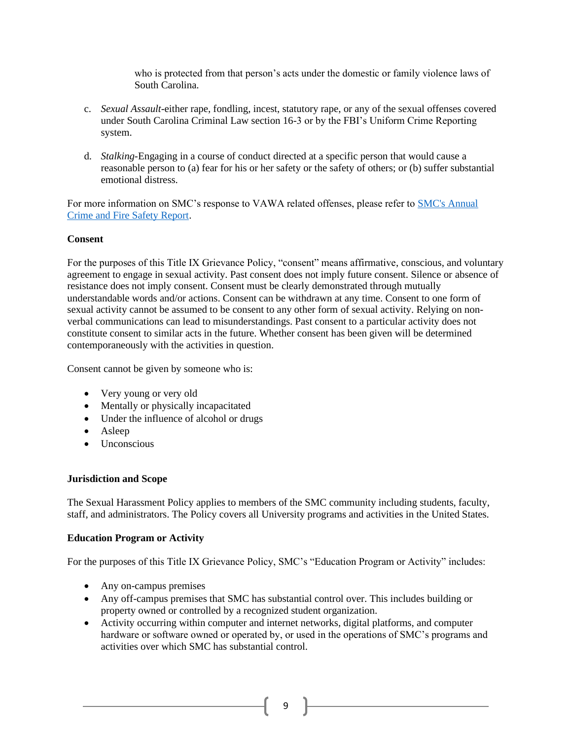who is protected from that person's acts under the domestic or family violence laws of South Carolina.

- c. *Sexual Assault-*either rape, fondling, incest, statutory rape, or any of the sexual offenses covered under South Carolina Criminal Law section 16-3 or by the FBI's Uniform Crime Reporting system.
- d. *Stalking-*Engaging in a course of conduct directed at a specific person that would cause a reasonable person to (a) fear for his or her safety or the safety of others; or (b) suffer substantial emotional distress.

For more information on SMC's response to VAWA related offenses, please refer to SMC's Annual [Crime and Fire Safety Report.](https://2fvoey3rsnhq2d8dwix4tseg-wpengine.netdna-ssl.com/wp-content/uploads/SMC-Crime-Report_2018-2020.pdf)

### **Consent**

For the purposes of this Title IX Grievance Policy, "consent" means affirmative, conscious, and voluntary agreement to engage in sexual activity. Past consent does not imply future consent. Silence or absence of resistance does not imply consent. Consent must be clearly demonstrated through mutually understandable words and/or actions. Consent can be withdrawn at any time. Consent to one form of sexual activity cannot be assumed to be consent to any other form of sexual activity. Relying on nonverbal communications can lead to misunderstandings. Past consent to a particular activity does not constitute consent to similar acts in the future. Whether consent has been given will be determined contemporaneously with the activities in question.

Consent cannot be given by someone who is:

- Very young or very old
- Mentally or physically incapacitated
- Under the influence of alcohol or drugs
- Asleep
- Unconscious

#### **Jurisdiction and Scope**

The Sexual Harassment Policy applies to members of the SMC community including students, faculty, staff, and administrators. The Policy covers all University programs and activities in the United States.

#### **Education Program or Activity**

For the purposes of this Title IX Grievance Policy, SMC's "Education Program or Activity" includes:

- Any on-campus premises
- Any off-campus premises that SMC has substantial control over. This includes building or property owned or controlled by a recognized student organization.
- Activity occurring within computer and internet networks, digital platforms, and computer hardware or software owned or operated by, or used in the operations of SMC's programs and activities over which SMC has substantial control.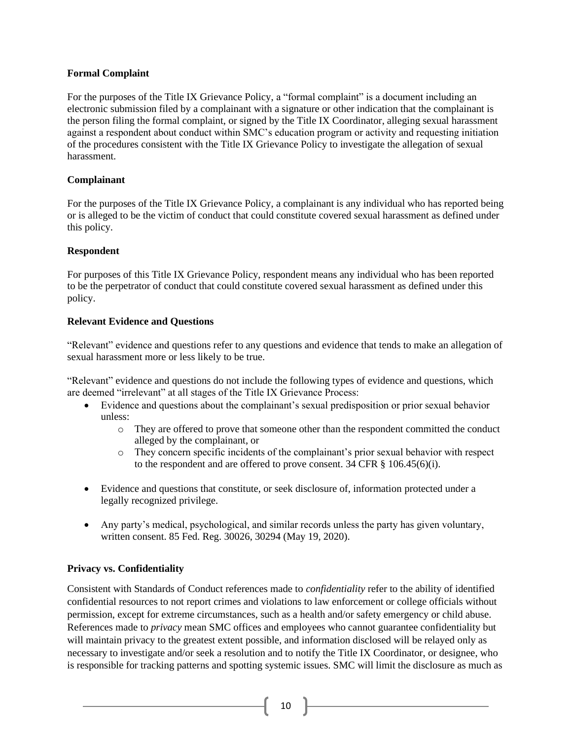## **Formal Complaint**

For the purposes of the Title IX Grievance Policy, a "formal complaint" is a document including an electronic submission filed by a complainant with a signature or other indication that the complainant is the person filing the formal complaint, or signed by the Title IX Coordinator, alleging sexual harassment against a respondent about conduct within SMC's education program or activity and requesting initiation of the procedures consistent with the Title IX Grievance Policy to investigate the allegation of sexual harassment.

## **Complainant**

For the purposes of the Title IX Grievance Policy, a complainant is any individual who has reported being or is alleged to be the victim of conduct that could constitute covered sexual harassment as defined under this policy.

## **Respondent**

For purposes of this Title IX Grievance Policy, respondent means any individual who has been reported to be the perpetrator of conduct that could constitute covered sexual harassment as defined under this policy.

## **Relevant Evidence and Questions**

"Relevant" evidence and questions refer to any questions and evidence that tends to make an allegation of sexual harassment more or less likely to be true.

"Relevant" evidence and questions do not include the following types of evidence and questions, which are deemed "irrelevant" at all stages of the Title IX Grievance Process:

- Evidence and questions about the complainant's sexual predisposition or prior sexual behavior unless:
	- o They are offered to prove that someone other than the respondent committed the conduct alleged by the complainant, or
	- o They concern specific incidents of the complainant's prior sexual behavior with respect to the respondent and are offered to prove consent. 34 CFR § 106.45(6)(i).
- Evidence and questions that constitute, or seek disclosure of, information protected under a legally recognized privilege.
- Any party's medical, psychological, and similar records unless the party has given voluntary, written consent. 85 Fed. Reg. 30026, 30294 (May 19, 2020).

# **Privacy vs. Confidentiality**

Consistent with Standards of Conduct references made to *confidentiality* refer to the ability of identified confidential resources to not report crimes and violations to law enforcement or college officials without permission, except for extreme circumstances, such as a health and/or safety emergency or child abuse. References made to *privacy* mean SMC offices and employees who cannot guarantee confidentiality but will maintain privacy to the greatest extent possible, and information disclosed will be relayed only as necessary to investigate and/or seek a resolution and to notify the Title IX Coordinator, or designee, who is responsible for tracking patterns and spotting systemic issues. SMC will limit the disclosure as much as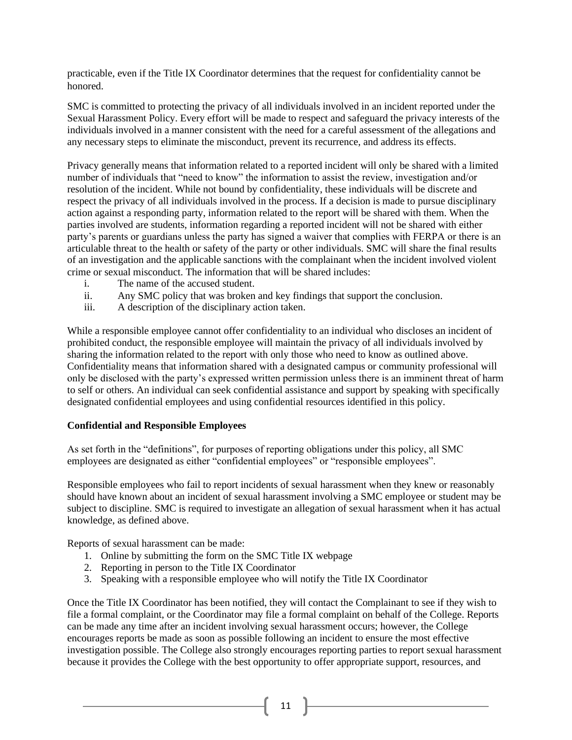practicable, even if the Title IX Coordinator determines that the request for confidentiality cannot be honored.

SMC is committed to protecting the privacy of all individuals involved in an incident reported under the Sexual Harassment Policy. Every effort will be made to respect and safeguard the privacy interests of the individuals involved in a manner consistent with the need for a careful assessment of the allegations and any necessary steps to eliminate the misconduct, prevent its recurrence, and address its effects.

Privacy generally means that information related to a reported incident will only be shared with a limited number of individuals that "need to know" the information to assist the review, investigation and/or resolution of the incident. While not bound by confidentiality, these individuals will be discrete and respect the privacy of all individuals involved in the process. If a decision is made to pursue disciplinary action against a responding party, information related to the report will be shared with them. When the parties involved are students, information regarding a reported incident will not be shared with either party's parents or guardians unless the party has signed a waiver that complies with FERPA or there is an articulable threat to the health or safety of the party or other individuals. SMC will share the final results of an investigation and the applicable sanctions with the complainant when the incident involved violent crime or sexual misconduct. The information that will be shared includes:

- i. The name of the accused student.
- ii. Any SMC policy that was broken and key findings that support the conclusion.
- iii. A description of the disciplinary action taken.

While a responsible employee cannot offer confidentiality to an individual who discloses an incident of prohibited conduct, the responsible employee will maintain the privacy of all individuals involved by sharing the information related to the report with only those who need to know as outlined above. Confidentiality means that information shared with a designated campus or community professional will only be disclosed with the party's expressed written permission unless there is an imminent threat of harm to self or others. An individual can seek confidential assistance and support by speaking with specifically designated confidential employees and using confidential resources identified in this policy.

#### **Confidential and Responsible Employees**

As set forth in the "definitions", for purposes of reporting obligations under this policy, all SMC employees are designated as either "confidential employees" or "responsible employees".

Responsible employees who fail to report incidents of sexual harassment when they knew or reasonably should have known about an incident of sexual harassment involving a SMC employee or student may be subject to discipline. SMC is required to investigate an allegation of sexual harassment when it has actual knowledge, as defined above.

Reports of sexual harassment can be made:

- 1. Online by submitting the form on the SMC Title IX webpage
- 2. Reporting in person to the Title IX Coordinator
- 3. Speaking with a responsible employee who will notify the Title IX Coordinator

Once the Title IX Coordinator has been notified, they will contact the Complainant to see if they wish to file a formal complaint, or the Coordinator may file a formal complaint on behalf of the College. Reports can be made any time after an incident involving sexual harassment occurs; however, the College encourages reports be made as soon as possible following an incident to ensure the most effective investigation possible. The College also strongly encourages reporting parties to report sexual harassment because it provides the College with the best opportunity to offer appropriate support, resources, and

 $11$  }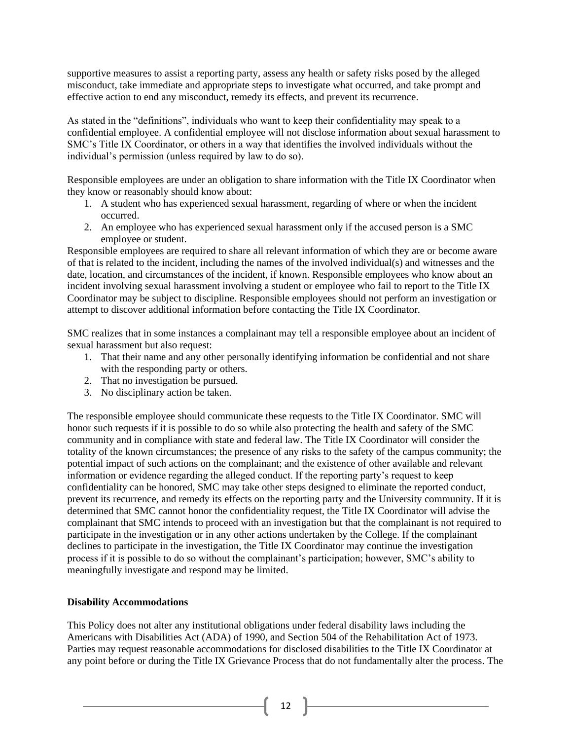supportive measures to assist a reporting party, assess any health or safety risks posed by the alleged misconduct, take immediate and appropriate steps to investigate what occurred, and take prompt and effective action to end any misconduct, remedy its effects, and prevent its recurrence.

As stated in the "definitions", individuals who want to keep their confidentiality may speak to a confidential employee. A confidential employee will not disclose information about sexual harassment to SMC's Title IX Coordinator, or others in a way that identifies the involved individuals without the individual's permission (unless required by law to do so).

Responsible employees are under an obligation to share information with the Title IX Coordinator when they know or reasonably should know about:

- 1. A student who has experienced sexual harassment, regarding of where or when the incident occurred.
- 2. An employee who has experienced sexual harassment only if the accused person is a SMC employee or student.

Responsible employees are required to share all relevant information of which they are or become aware of that is related to the incident, including the names of the involved individual(s) and witnesses and the date, location, and circumstances of the incident, if known. Responsible employees who know about an incident involving sexual harassment involving a student or employee who fail to report to the Title IX Coordinator may be subject to discipline. Responsible employees should not perform an investigation or attempt to discover additional information before contacting the Title IX Coordinator.

SMC realizes that in some instances a complainant may tell a responsible employee about an incident of sexual harassment but also request:

- 1. That their name and any other personally identifying information be confidential and not share with the responding party or others.
- 2. That no investigation be pursued.
- 3. No disciplinary action be taken.

The responsible employee should communicate these requests to the Title IX Coordinator. SMC will honor such requests if it is possible to do so while also protecting the health and safety of the SMC community and in compliance with state and federal law. The Title IX Coordinator will consider the totality of the known circumstances; the presence of any risks to the safety of the campus community; the potential impact of such actions on the complainant; and the existence of other available and relevant information or evidence regarding the alleged conduct. If the reporting party's request to keep confidentiality can be honored, SMC may take other steps designed to eliminate the reported conduct, prevent its recurrence, and remedy its effects on the reporting party and the University community. If it is determined that SMC cannot honor the confidentiality request, the Title IX Coordinator will advise the complainant that SMC intends to proceed with an investigation but that the complainant is not required to participate in the investigation or in any other actions undertaken by the College. If the complainant declines to participate in the investigation, the Title IX Coordinator may continue the investigation process if it is possible to do so without the complainant's participation; however, SMC's ability to meaningfully investigate and respond may be limited.

### **Disability Accommodations**

This Policy does not alter any institutional obligations under federal disability laws including the Americans with Disabilities Act (ADA) of 1990, and Section 504 of the Rehabilitation Act of 1973. Parties may request reasonable accommodations for disclosed disabilities to the Title IX Coordinator at any point before or during the Title IX Grievance Process that do not fundamentally alter the process. The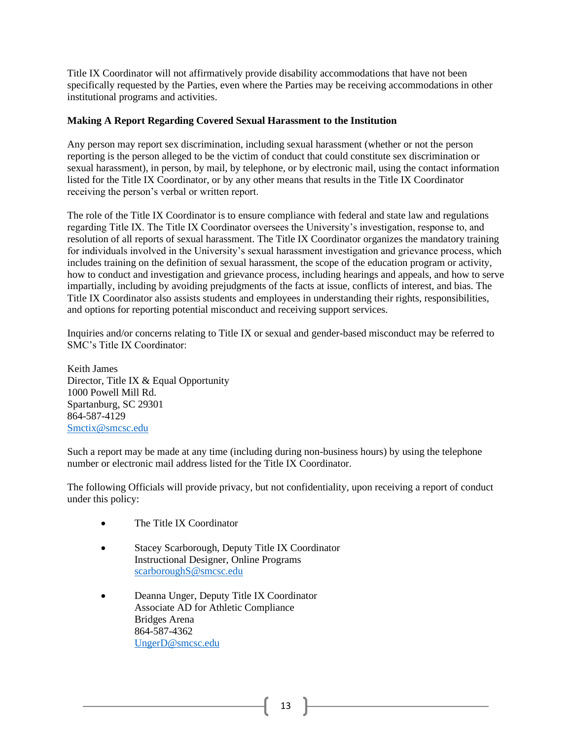Title IX Coordinator will not affirmatively provide disability accommodations that have not been specifically requested by the Parties, even where the Parties may be receiving accommodations in other institutional programs and activities.

## **Making A Report Regarding Covered Sexual Harassment to the Institution**

Any person may report sex discrimination, including sexual harassment (whether or not the person reporting is the person alleged to be the victim of conduct that could constitute sex discrimination or sexual harassment), in person, by mail, by telephone, or by electronic mail, using the contact information listed for the Title IX Coordinator, or by any other means that results in the Title IX Coordinator receiving the person's verbal or written report.

The role of the Title IX Coordinator is to ensure compliance with federal and state law and regulations regarding Title IX. The Title IX Coordinator oversees the University's investigation, response to, and resolution of all reports of sexual harassment. The Title IX Coordinator organizes the mandatory training for individuals involved in the University's sexual harassment investigation and grievance process, which includes training on the definition of sexual harassment, the scope of the education program or activity, how to conduct and investigation and grievance process, including hearings and appeals, and how to serve impartially, including by avoiding prejudgments of the facts at issue, conflicts of interest, and bias. The Title IX Coordinator also assists students and employees in understanding their rights, responsibilities, and options for reporting potential misconduct and receiving support services.

Inquiries and/or concerns relating to Title IX or sexual and gender-based misconduct may be referred to SMC's Title IX Coordinator:

Keith James Director, Title IX & Equal Opportunity 1000 Powell Mill Rd. Spartanburg, SC 29301 864-587-4129 [Smctix@smcsc.edu](mailto:Smctix@smcsc.edu)

Such a report may be made at any time (including during non-business hours) by using the telephone number or electronic mail address listed for the Title IX Coordinator.

The following Officials will provide privacy, but not confidentiality, upon receiving a report of conduct under this policy:

- The Title IX Coordinator
- Stacey Scarborough, Deputy Title IX Coordinator Instructional Designer, Online Programs [scarboroughS@smcsc.edu](mailto:scarboroughS@smcsc.edu)
- Deanna Unger, Deputy Title IX Coordinator Associate AD for Athletic Compliance Bridges Arena 864-587-4362 [UngerD@smcsc.edu](mailto:UngerD@smcsc.edu)

 $13 \quad \}$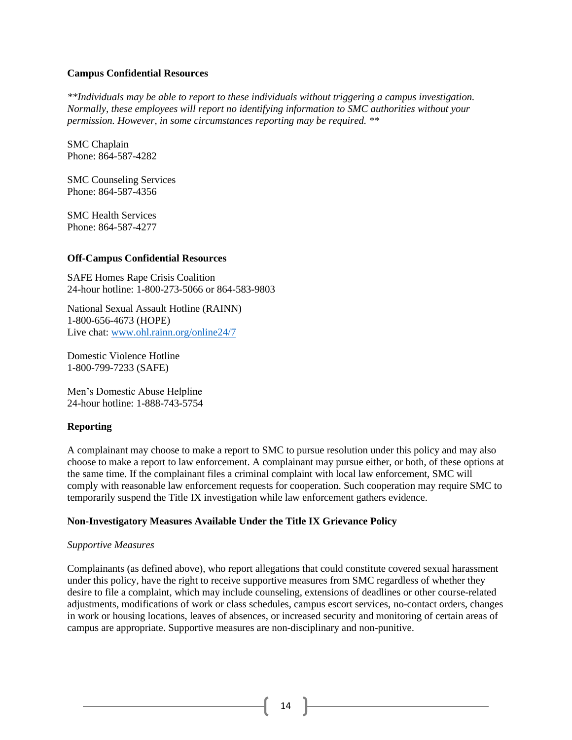#### **Campus Confidential Resources**

*\*\*Individuals may be able to report to these individuals without triggering a campus investigation. Normally, these employees will report no identifying information to SMC authorities without your permission. However, in some circumstances reporting may be required. \*\**

SMC Chaplain Phone: 864-587-4282

SMC Counseling Services Phone: 864-587-4356

SMC Health Services Phone: 864-587-4277

#### **Off-Campus Confidential Resources**

SAFE Homes Rape Crisis Coalition 24-hour hotline: 1-800-273-5066 or 864-583-9803

National Sexual Assault Hotline (RAINN) 1-800-656-4673 (HOPE) Live chat: [www.ohl.rainn.org/online24/7](http://www.ohl.rainn.org/online24/7)

Domestic Violence Hotline 1-800-799-7233 (SAFE)

Men's Domestic Abuse Helpline 24-hour hotline: 1-888-743-5754

### **Reporting**

A complainant may choose to make a report to SMC to pursue resolution under this policy and may also choose to make a report to law enforcement. A complainant may pursue either, or both, of these options at the same time. If the complainant files a criminal complaint with local law enforcement, SMC will comply with reasonable law enforcement requests for cooperation. Such cooperation may require SMC to temporarily suspend the Title IX investigation while law enforcement gathers evidence.

### **Non-Investigatory Measures Available Under the Title IX Grievance Policy**

#### *Supportive Measures*

Complainants (as defined above), who report allegations that could constitute covered sexual harassment under this policy, have the right to receive supportive measures from SMC regardless of whether they desire to file a complaint, which may include counseling, extensions of deadlines or other course-related adjustments, modifications of work or class schedules, campus escort services, no-contact orders, changes in work or housing locations, leaves of absences, or increased security and monitoring of certain areas of campus are appropriate. Supportive measures are non-disciplinary and non-punitive.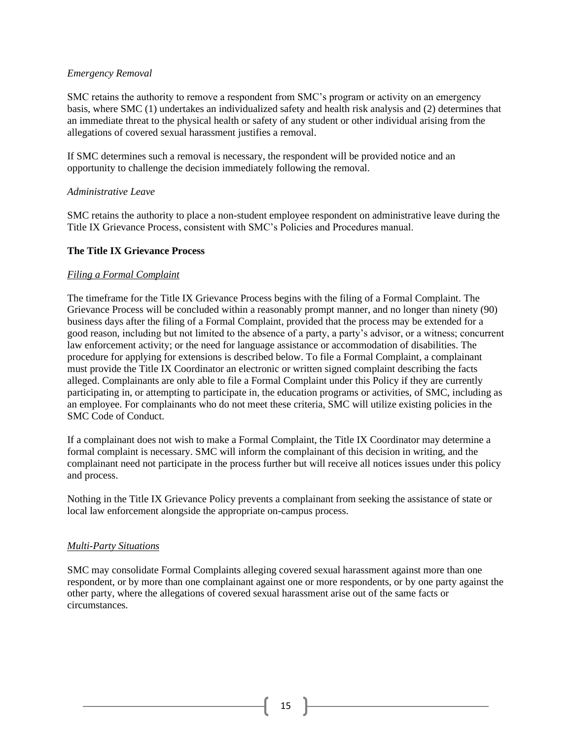### *Emergency Removal*

SMC retains the authority to remove a respondent from SMC's program or activity on an emergency basis, where SMC (1) undertakes an individualized safety and health risk analysis and (2) determines that an immediate threat to the physical health or safety of any student or other individual arising from the allegations of covered sexual harassment justifies a removal.

If SMC determines such a removal is necessary, the respondent will be provided notice and an opportunity to challenge the decision immediately following the removal.

#### *Administrative Leave*

SMC retains the authority to place a non-student employee respondent on administrative leave during the Title IX Grievance Process, consistent with SMC's Policies and Procedures manual.

#### **The Title IX Grievance Process**

#### *Filing a Formal Complaint*

The timeframe for the Title IX Grievance Process begins with the filing of a Formal Complaint. The Grievance Process will be concluded within a reasonably prompt manner, and no longer than ninety (90) business days after the filing of a Formal Complaint, provided that the process may be extended for a good reason, including but not limited to the absence of a party, a party's advisor, or a witness; concurrent law enforcement activity; or the need for language assistance or accommodation of disabilities. The procedure for applying for extensions is described below. To file a Formal Complaint, a complainant must provide the Title IX Coordinator an electronic or written signed complaint describing the facts alleged. Complainants are only able to file a Formal Complaint under this Policy if they are currently participating in, or attempting to participate in, the education programs or activities, of SMC, including as an employee. For complainants who do not meet these criteria, SMC will utilize existing policies in the SMC Code of Conduct.

If a complainant does not wish to make a Formal Complaint, the Title IX Coordinator may determine a formal complaint is necessary. SMC will inform the complainant of this decision in writing, and the complainant need not participate in the process further but will receive all notices issues under this policy and process.

Nothing in the Title IX Grievance Policy prevents a complainant from seeking the assistance of state or local law enforcement alongside the appropriate on-campus process.

#### *Multi-Party Situations*

SMC may consolidate Formal Complaints alleging covered sexual harassment against more than one respondent, or by more than one complainant against one or more respondents, or by one party against the other party, where the allegations of covered sexual harassment arise out of the same facts or circumstances.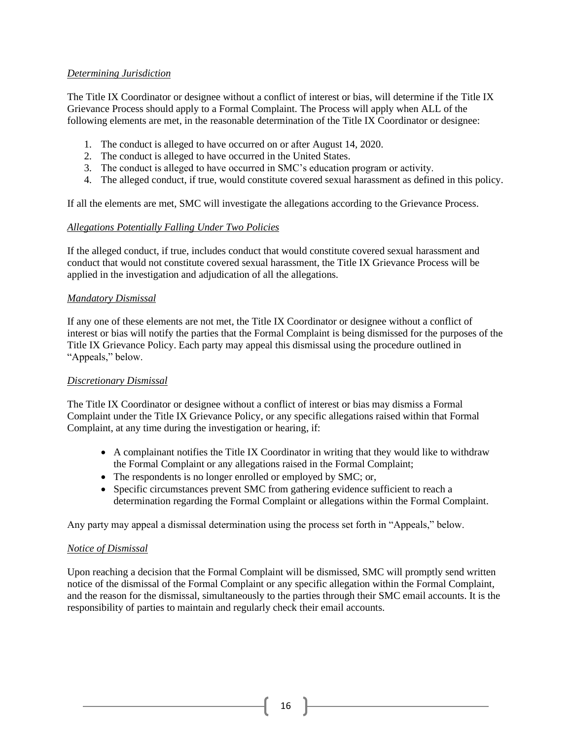## *Determining Jurisdiction*

The Title IX Coordinator or designee without a conflict of interest or bias, will determine if the Title IX Grievance Process should apply to a Formal Complaint. The Process will apply when ALL of the following elements are met, in the reasonable determination of the Title IX Coordinator or designee:

- 1. The conduct is alleged to have occurred on or after August 14, 2020.
- 2. The conduct is alleged to have occurred in the United States.
- 3. The conduct is alleged to have occurred in SMC's education program or activity.
- 4. The alleged conduct, if true, would constitute covered sexual harassment as defined in this policy.

If all the elements are met, SMC will investigate the allegations according to the Grievance Process.

## *Allegations Potentially Falling Under Two Policies*

If the alleged conduct, if true, includes conduct that would constitute covered sexual harassment and conduct that would not constitute covered sexual harassment, the Title IX Grievance Process will be applied in the investigation and adjudication of all the allegations.

### *Mandatory Dismissal*

If any one of these elements are not met, the Title IX Coordinator or designee without a conflict of interest or bias will notify the parties that the Formal Complaint is being dismissed for the purposes of the Title IX Grievance Policy. Each party may appeal this dismissal using the procedure outlined in "Appeals," below.

### *Discretionary Dismissal*

The Title IX Coordinator or designee without a conflict of interest or bias may dismiss a Formal Complaint under the Title IX Grievance Policy, or any specific allegations raised within that Formal Complaint, at any time during the investigation or hearing, if:

- A complainant notifies the Title IX Coordinator in writing that they would like to withdraw the Formal Complaint or any allegations raised in the Formal Complaint;
- The respondents is no longer enrolled or employed by SMC; or,
- Specific circumstances prevent SMC from gathering evidence sufficient to reach a determination regarding the Formal Complaint or allegations within the Formal Complaint.

Any party may appeal a dismissal determination using the process set forth in "Appeals," below.

### *Notice of Dismissal*

Upon reaching a decision that the Formal Complaint will be dismissed, SMC will promptly send written notice of the dismissal of the Formal Complaint or any specific allegation within the Formal Complaint, and the reason for the dismissal, simultaneously to the parties through their SMC email accounts. It is the responsibility of parties to maintain and regularly check their email accounts.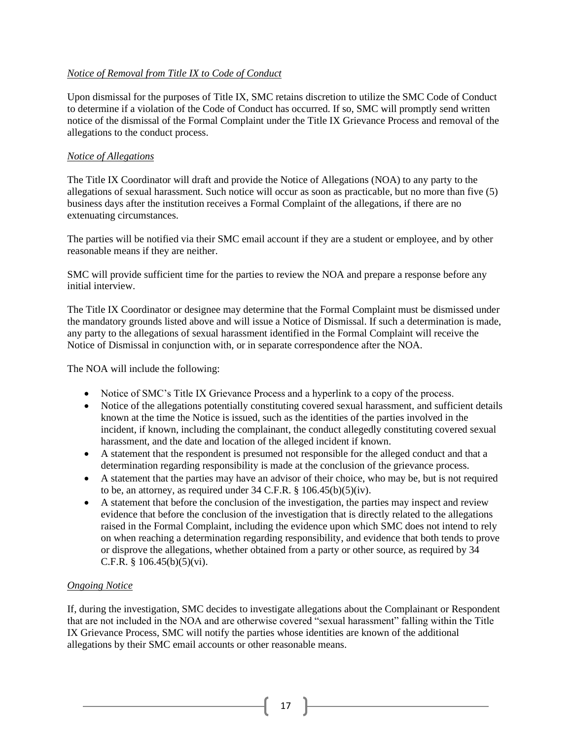## *Notice of Removal from Title IX to Code of Conduct*

Upon dismissal for the purposes of Title IX, SMC retains discretion to utilize the SMC Code of Conduct to determine if a violation of the Code of Conduct has occurred. If so, SMC will promptly send written notice of the dismissal of the Formal Complaint under the Title IX Grievance Process and removal of the allegations to the conduct process.

## *Notice of Allegations*

The Title IX Coordinator will draft and provide the Notice of Allegations (NOA) to any party to the allegations of sexual harassment. Such notice will occur as soon as practicable, but no more than five (5) business days after the institution receives a Formal Complaint of the allegations, if there are no extenuating circumstances.

The parties will be notified via their SMC email account if they are a student or employee, and by other reasonable means if they are neither.

SMC will provide sufficient time for the parties to review the NOA and prepare a response before any initial interview.

The Title IX Coordinator or designee may determine that the Formal Complaint must be dismissed under the mandatory grounds listed above and will issue a Notice of Dismissal. If such a determination is made, any party to the allegations of sexual harassment identified in the Formal Complaint will receive the Notice of Dismissal in conjunction with, or in separate correspondence after the NOA.

The NOA will include the following:

- Notice of SMC's Title IX Grievance Process and a hyperlink to a copy of the process.
- Notice of the allegations potentially constituting covered sexual harassment, and sufficient details known at the time the Notice is issued, such as the identities of the parties involved in the incident, if known, including the complainant, the conduct allegedly constituting covered sexual harassment, and the date and location of the alleged incident if known.
- A statement that the respondent is presumed not responsible for the alleged conduct and that a determination regarding responsibility is made at the conclusion of the grievance process.
- A statement that the parties may have an advisor of their choice, who may be, but is not required to be, an attorney, as required under  $34$  C.F.R. §  $106.45(b)(5)(iv)$ .
- A statement that before the conclusion of the investigation, the parties may inspect and review evidence that before the conclusion of the investigation that is directly related to the allegations raised in the Formal Complaint, including the evidence upon which SMC does not intend to rely on when reaching a determination regarding responsibility, and evidence that both tends to prove or disprove the allegations, whether obtained from a party or other source, as required by 34 C.F.R.  $§ 106.45(b)(5)(vi)$ .

# *Ongoing Notice*

If, during the investigation, SMC decides to investigate allegations about the Complainant or Respondent that are not included in the NOA and are otherwise covered "sexual harassment" falling within the Title IX Grievance Process, SMC will notify the parties whose identities are known of the additional allegations by their SMC email accounts or other reasonable means.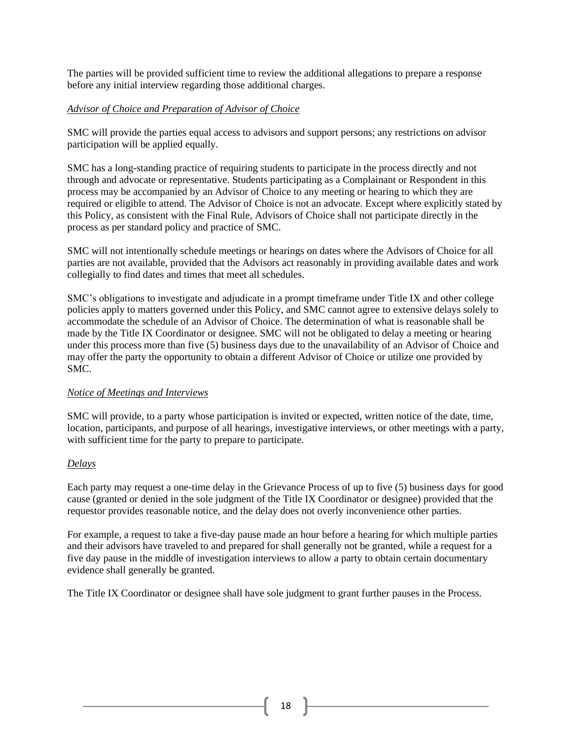The parties will be provided sufficient time to review the additional allegations to prepare a response before any initial interview regarding those additional charges.

## *Advisor of Choice and Preparation of Advisor of Choice*

SMC will provide the parties equal access to advisors and support persons; any restrictions on advisor participation will be applied equally.

SMC has a long-standing practice of requiring students to participate in the process directly and not through and advocate or representative. Students participating as a Complainant or Respondent in this process may be accompanied by an Advisor of Choice to any meeting or hearing to which they are required or eligible to attend. The Advisor of Choice is not an advocate. Except where explicitly stated by this Policy, as consistent with the Final Rule, Advisors of Choice shall not participate directly in the process as per standard policy and practice of SMC.

SMC will not intentionally schedule meetings or hearings on dates where the Advisors of Choice for all parties are not available, provided that the Advisors act reasonably in providing available dates and work collegially to find dates and times that meet all schedules.

SMC's obligations to investigate and adjudicate in a prompt timeframe under Title IX and other college policies apply to matters governed under this Policy, and SMC cannot agree to extensive delays solely to accommodate the schedule of an Advisor of Choice. The determination of what is reasonable shall be made by the Title IX Coordinator or designee. SMC will not be obligated to delay a meeting or hearing under this process more than five (5) business days due to the unavailability of an Advisor of Choice and may offer the party the opportunity to obtain a different Advisor of Choice or utilize one provided by SMC.

### *Notice of Meetings and Interviews*

SMC will provide, to a party whose participation is invited or expected, written notice of the date, time, location, participants, and purpose of all hearings, investigative interviews, or other meetings with a party, with sufficient time for the party to prepare to participate.

### *Delays*

Each party may request a one-time delay in the Grievance Process of up to five (5) business days for good cause (granted or denied in the sole judgment of the Title IX Coordinator or designee) provided that the requestor provides reasonable notice, and the delay does not overly inconvenience other parties.

For example, a request to take a five-day pause made an hour before a hearing for which multiple parties and their advisors have traveled to and prepared for shall generally not be granted, while a request for a five day pause in the middle of investigation interviews to allow a party to obtain certain documentary evidence shall generally be granted.

The Title IX Coordinator or designee shall have sole judgment to grant further pauses in the Process.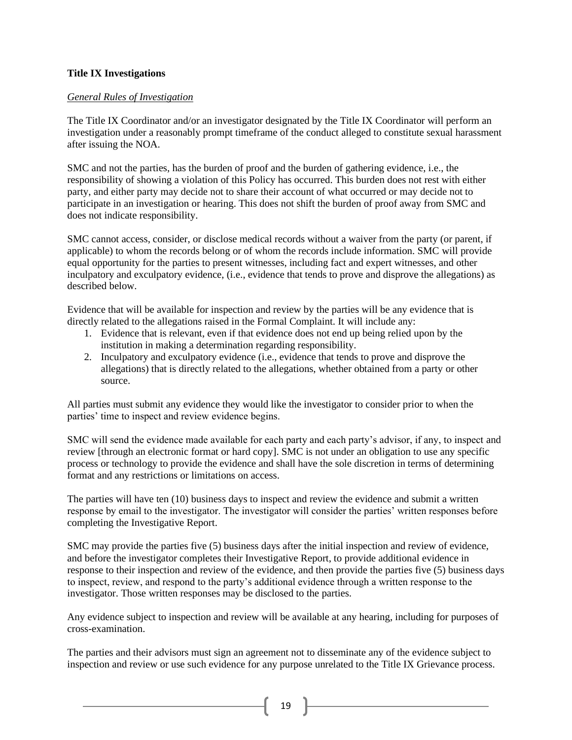## **Title IX Investigations**

## *General Rules of Investigation*

The Title IX Coordinator and/or an investigator designated by the Title IX Coordinator will perform an investigation under a reasonably prompt timeframe of the conduct alleged to constitute sexual harassment after issuing the NOA.

SMC and not the parties, has the burden of proof and the burden of gathering evidence, i.e., the responsibility of showing a violation of this Policy has occurred. This burden does not rest with either party, and either party may decide not to share their account of what occurred or may decide not to participate in an investigation or hearing. This does not shift the burden of proof away from SMC and does not indicate responsibility.

SMC cannot access, consider, or disclose medical records without a waiver from the party (or parent, if applicable) to whom the records belong or of whom the records include information. SMC will provide equal opportunity for the parties to present witnesses, including fact and expert witnesses, and other inculpatory and exculpatory evidence, (i.e., evidence that tends to prove and disprove the allegations) as described below.

Evidence that will be available for inspection and review by the parties will be any evidence that is directly related to the allegations raised in the Formal Complaint. It will include any:

- 1. Evidence that is relevant, even if that evidence does not end up being relied upon by the institution in making a determination regarding responsibility.
- 2. Inculpatory and exculpatory evidence (i.e., evidence that tends to prove and disprove the allegations) that is directly related to the allegations, whether obtained from a party or other source.

All parties must submit any evidence they would like the investigator to consider prior to when the parties' time to inspect and review evidence begins.

SMC will send the evidence made available for each party and each party's advisor, if any, to inspect and review [through an electronic format or hard copy]. SMC is not under an obligation to use any specific process or technology to provide the evidence and shall have the sole discretion in terms of determining format and any restrictions or limitations on access.

The parties will have ten (10) business days to inspect and review the evidence and submit a written response by email to the investigator. The investigator will consider the parties' written responses before completing the Investigative Report.

SMC may provide the parties five (5) business days after the initial inspection and review of evidence, and before the investigator completes their Investigative Report, to provide additional evidence in response to their inspection and review of the evidence, and then provide the parties five (5) business days to inspect, review, and respond to the party's additional evidence through a written response to the investigator. Those written responses may be disclosed to the parties.

Any evidence subject to inspection and review will be available at any hearing, including for purposes of cross-examination.

The parties and their advisors must sign an agreement not to disseminate any of the evidence subject to inspection and review or use such evidence for any purpose unrelated to the Title IX Grievance process.

 $19$  ]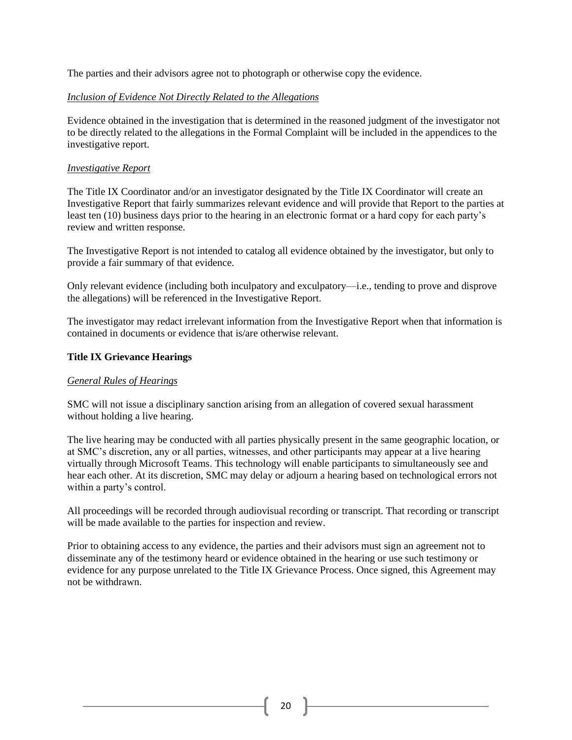The parties and their advisors agree not to photograph or otherwise copy the evidence.

### *Inclusion of Evidence Not Directly Related to the Allegations*

Evidence obtained in the investigation that is determined in the reasoned judgment of the investigator not to be directly related to the allegations in the Formal Complaint will be included in the appendices to the investigative report.

#### *Investigative Report*

The Title IX Coordinator and/or an investigator designated by the Title IX Coordinator will create an Investigative Report that fairly summarizes relevant evidence and will provide that Report to the parties at least ten (10) business days prior to the hearing in an electronic format or a hard copy for each party's review and written response.

The Investigative Report is not intended to catalog all evidence obtained by the investigator, but only to provide a fair summary of that evidence.

Only relevant evidence (including both inculpatory and exculpatory—i.e., tending to prove and disprove the allegations) will be referenced in the Investigative Report.

The investigator may redact irrelevant information from the Investigative Report when that information is contained in documents or evidence that is/are otherwise relevant.

### **Title IX Grievance Hearings**

### *General Rules of Hearings*

SMC will not issue a disciplinary sanction arising from an allegation of covered sexual harassment without holding a live hearing.

The live hearing may be conducted with all parties physically present in the same geographic location, or at SMC's discretion, any or all parties, witnesses, and other participants may appear at a live hearing virtually through Microsoft Teams. This technology will enable participants to simultaneously see and hear each other. At its discretion, SMC may delay or adjourn a hearing based on technological errors not within a party's control.

All proceedings will be recorded through audiovisual recording or transcript. That recording or transcript will be made available to the parties for inspection and review.

Prior to obtaining access to any evidence, the parties and their advisors must sign an agreement not to disseminate any of the testimony heard or evidence obtained in the hearing or use such testimony or evidence for any purpose unrelated to the Title IX Grievance Process. Once signed, this Agreement may not be withdrawn.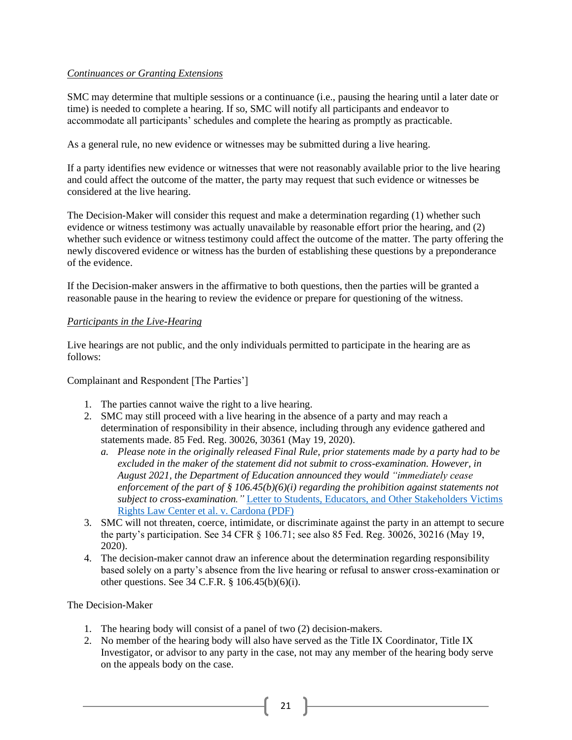### *Continuances or Granting Extensions*

SMC may determine that multiple sessions or a continuance (i.e., pausing the hearing until a later date or time) is needed to complete a hearing. If so, SMC will notify all participants and endeavor to accommodate all participants' schedules and complete the hearing as promptly as practicable.

As a general rule, no new evidence or witnesses may be submitted during a live hearing.

If a party identifies new evidence or witnesses that were not reasonably available prior to the live hearing and could affect the outcome of the matter, the party may request that such evidence or witnesses be considered at the live hearing.

The Decision-Maker will consider this request and make a determination regarding (1) whether such evidence or witness testimony was actually unavailable by reasonable effort prior the hearing, and (2) whether such evidence or witness testimony could affect the outcome of the matter. The party offering the newly discovered evidence or witness has the burden of establishing these questions by a preponderance of the evidence.

If the Decision-maker answers in the affirmative to both questions, then the parties will be granted a reasonable pause in the hearing to review the evidence or prepare for questioning of the witness.

## *Participants in the Live-Hearing*

Live hearings are not public, and the only individuals permitted to participate in the hearing are as follows:

Complainant and Respondent [The Parties']

- 1. The parties cannot waive the right to a live hearing.
- 2. SMC may still proceed with a live hearing in the absence of a party and may reach a determination of responsibility in their absence, including through any evidence gathered and statements made. 85 Fed. Reg. 30026, 30361 (May 19, 2020).
	- *a. Please note in the originally released Final Rule, prior statements made by a party had to be excluded in the maker of the statement did not submit to cross-examination. However, in August 2021, the Department of Education announced they would "immediately cease enforcement of the part of § 106.45(b)(6)(i) regarding the prohibition against statements not subject to cross-examination."* [Letter to Students, Educators, and Other Stakeholders Victims](https://www2.ed.gov/about/offices/list/ocr/docs/202108-titleix-VRLC.pdf)  [Rights Law Center et al. v. Cardona \(PDF\)](https://www2.ed.gov/about/offices/list/ocr/docs/202108-titleix-VRLC.pdf)
- 3. SMC will not threaten, coerce, intimidate, or discriminate against the party in an attempt to secure the party's participation. See 34 CFR § 106.71; see also 85 Fed. Reg. 30026, 30216 (May 19, 2020).
- 4. The decision-maker cannot draw an inference about the determination regarding responsibility based solely on a party's absence from the live hearing or refusal to answer cross-examination or other questions. See 34 C.F.R. § 106.45(b)(6)(i).

### The Decision-Maker

- 1. The hearing body will consist of a panel of two (2) decision-makers.
- 2. No member of the hearing body will also have served as the Title IX Coordinator, Title IX Investigator, or advisor to any party in the case, not may any member of the hearing body serve on the appeals body on the case.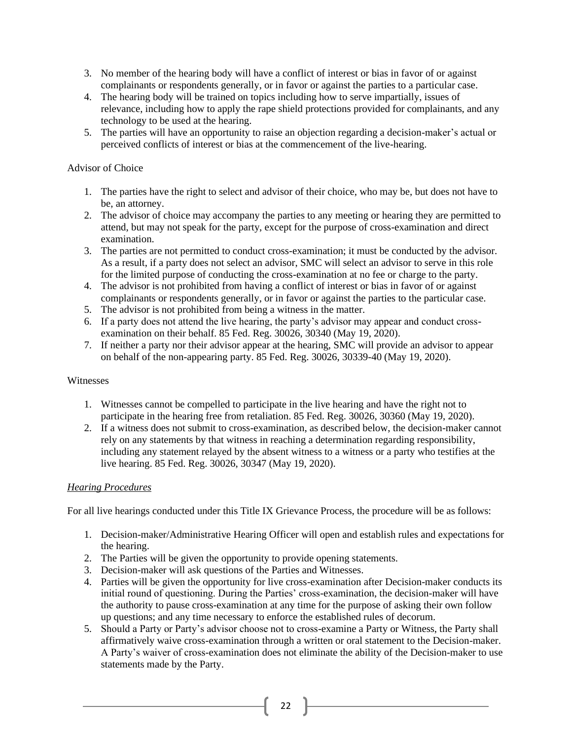- 3. No member of the hearing body will have a conflict of interest or bias in favor of or against complainants or respondents generally, or in favor or against the parties to a particular case.
- 4. The hearing body will be trained on topics including how to serve impartially, issues of relevance, including how to apply the rape shield protections provided for complainants, and any technology to be used at the hearing.
- 5. The parties will have an opportunity to raise an objection regarding a decision-maker's actual or perceived conflicts of interest or bias at the commencement of the live-hearing.

## Advisor of Choice

- 1. The parties have the right to select and advisor of their choice, who may be, but does not have to be, an attorney.
- 2. The advisor of choice may accompany the parties to any meeting or hearing they are permitted to attend, but may not speak for the party, except for the purpose of cross-examination and direct examination.
- 3. The parties are not permitted to conduct cross-examination; it must be conducted by the advisor. As a result, if a party does not select an advisor, SMC will select an advisor to serve in this role for the limited purpose of conducting the cross-examination at no fee or charge to the party.
- 4. The advisor is not prohibited from having a conflict of interest or bias in favor of or against complainants or respondents generally, or in favor or against the parties to the particular case.
- 5. The advisor is not prohibited from being a witness in the matter.
- 6. If a party does not attend the live hearing, the party's advisor may appear and conduct crossexamination on their behalf. 85 Fed. Reg. 30026, 30340 (May 19, 2020).
- 7. If neither a party nor their advisor appear at the hearing, SMC will provide an advisor to appear on behalf of the non-appearing party. 85 Fed. Reg. 30026, 30339-40 (May 19, 2020).

### Witnesses

- 1. Witnesses cannot be compelled to participate in the live hearing and have the right not to participate in the hearing free from retaliation. 85 Fed. Reg. 30026, 30360 (May 19, 2020).
- 2. If a witness does not submit to cross-examination, as described below, the decision-maker cannot rely on any statements by that witness in reaching a determination regarding responsibility, including any statement relayed by the absent witness to a witness or a party who testifies at the live hearing. 85 Fed. Reg. 30026, 30347 (May 19, 2020).

# *Hearing Procedures*

For all live hearings conducted under this Title IX Grievance Process, the procedure will be as follows:

- 1. Decision-maker/Administrative Hearing Officer will open and establish rules and expectations for the hearing.
- 2. The Parties will be given the opportunity to provide opening statements.
- 3. Decision-maker will ask questions of the Parties and Witnesses.
- 4. Parties will be given the opportunity for live cross-examination after Decision-maker conducts its initial round of questioning. During the Parties' cross-examination, the decision-maker will have the authority to pause cross-examination at any time for the purpose of asking their own follow up questions; and any time necessary to enforce the established rules of decorum.
- 5. Should a Party or Party's advisor choose not to cross-examine a Party or Witness, the Party shall affirmatively waive cross-examination through a written or oral statement to the Decision-maker. A Party's waiver of cross-examination does not eliminate the ability of the Decision-maker to use statements made by the Party.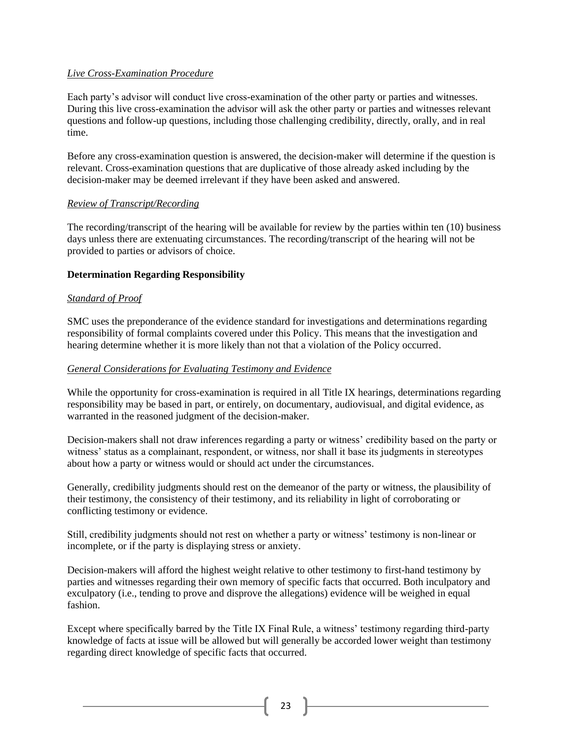### *Live Cross-Examination Procedure*

Each party's advisor will conduct live cross-examination of the other party or parties and witnesses. During this live cross-examination the advisor will ask the other party or parties and witnesses relevant questions and follow-up questions, including those challenging credibility, directly, orally, and in real time.

Before any cross-examination question is answered, the decision-maker will determine if the question is relevant. Cross-examination questions that are duplicative of those already asked including by the decision-maker may be deemed irrelevant if they have been asked and answered.

#### *Review of Transcript/Recording*

The recording/transcript of the hearing will be available for review by the parties within ten (10) business days unless there are extenuating circumstances. The recording/transcript of the hearing will not be provided to parties or advisors of choice.

#### **Determination Regarding Responsibility**

#### *Standard of Proof*

SMC uses the preponderance of the evidence standard for investigations and determinations regarding responsibility of formal complaints covered under this Policy. This means that the investigation and hearing determine whether it is more likely than not that a violation of the Policy occurred.

#### *General Considerations for Evaluating Testimony and Evidence*

While the opportunity for cross-examination is required in all Title IX hearings, determinations regarding responsibility may be based in part, or entirely, on documentary, audiovisual, and digital evidence, as warranted in the reasoned judgment of the decision-maker.

Decision-makers shall not draw inferences regarding a party or witness' credibility based on the party or witness' status as a complainant, respondent, or witness, nor shall it base its judgments in stereotypes about how a party or witness would or should act under the circumstances.

Generally, credibility judgments should rest on the demeanor of the party or witness, the plausibility of their testimony, the consistency of their testimony, and its reliability in light of corroborating or conflicting testimony or evidence.

Still, credibility judgments should not rest on whether a party or witness' testimony is non-linear or incomplete, or if the party is displaying stress or anxiety.

Decision-makers will afford the highest weight relative to other testimony to first-hand testimony by parties and witnesses regarding their own memory of specific facts that occurred. Both inculpatory and exculpatory (i.e., tending to prove and disprove the allegations) evidence will be weighed in equal fashion.

Except where specifically barred by the Title IX Final Rule, a witness' testimony regarding third-party knowledge of facts at issue will be allowed but will generally be accorded lower weight than testimony regarding direct knowledge of specific facts that occurred.

23  $\uparrow$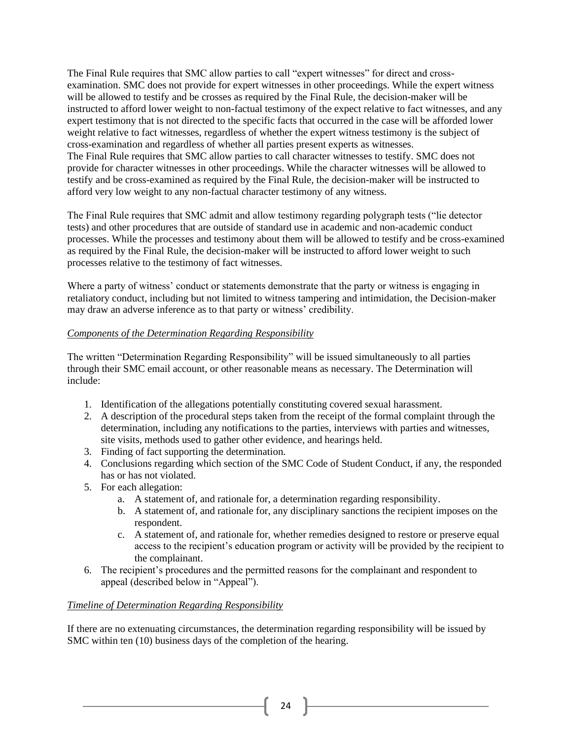The Final Rule requires that SMC allow parties to call "expert witnesses" for direct and crossexamination. SMC does not provide for expert witnesses in other proceedings. While the expert witness will be allowed to testify and be crosses as required by the Final Rule, the decision-maker will be instructed to afford lower weight to non-factual testimony of the expect relative to fact witnesses, and any expert testimony that is not directed to the specific facts that occurred in the case will be afforded lower weight relative to fact witnesses, regardless of whether the expert witness testimony is the subject of cross-examination and regardless of whether all parties present experts as witnesses. The Final Rule requires that SMC allow parties to call character witnesses to testify. SMC does not provide for character witnesses in other proceedings. While the character witnesses will be allowed to testify and be cross-examined as required by the Final Rule, the decision-maker will be instructed to afford very low weight to any non-factual character testimony of any witness.

The Final Rule requires that SMC admit and allow testimony regarding polygraph tests ("lie detector tests) and other procedures that are outside of standard use in academic and non-academic conduct processes. While the processes and testimony about them will be allowed to testify and be cross-examined as required by the Final Rule, the decision-maker will be instructed to afford lower weight to such processes relative to the testimony of fact witnesses.

Where a party of witness' conduct or statements demonstrate that the party or witness is engaging in retaliatory conduct, including but not limited to witness tampering and intimidation, the Decision-maker may draw an adverse inference as to that party or witness' credibility.

## *Components of the Determination Regarding Responsibility*

The written "Determination Regarding Responsibility" will be issued simultaneously to all parties through their SMC email account, or other reasonable means as necessary. The Determination will include:

- 1. Identification of the allegations potentially constituting covered sexual harassment.
- 2. A description of the procedural steps taken from the receipt of the formal complaint through the determination, including any notifications to the parties, interviews with parties and witnesses, site visits, methods used to gather other evidence, and hearings held.
- 3. Finding of fact supporting the determination.
- 4. Conclusions regarding which section of the SMC Code of Student Conduct, if any, the responded has or has not violated.
- 5. For each allegation:
	- a. A statement of, and rationale for, a determination regarding responsibility.
	- b. A statement of, and rationale for, any disciplinary sanctions the recipient imposes on the respondent.
	- c. A statement of, and rationale for, whether remedies designed to restore or preserve equal access to the recipient's education program or activity will be provided by the recipient to the complainant.
- 6. The recipient's procedures and the permitted reasons for the complainant and respondent to appeal (described below in "Appeal").

### *Timeline of Determination Regarding Responsibility*

If there are no extenuating circumstances, the determination regarding responsibility will be issued by SMC within ten (10) business days of the completion of the hearing.

 $24$  ]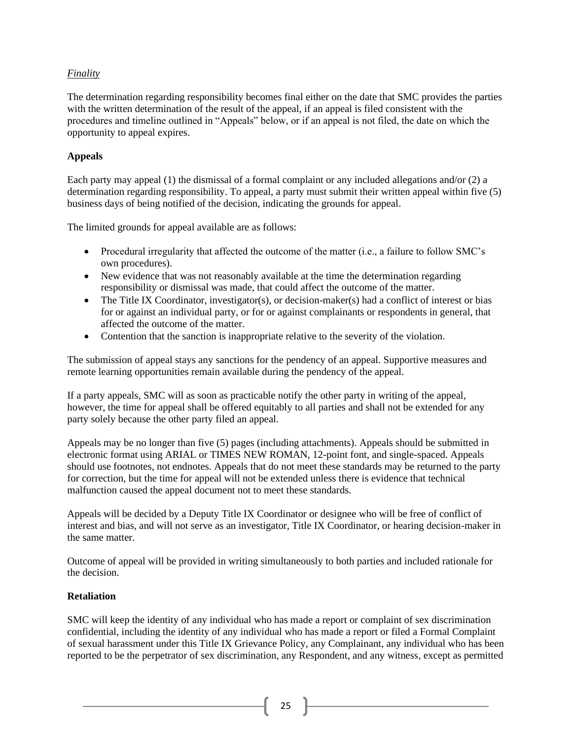# *Finality*

The determination regarding responsibility becomes final either on the date that SMC provides the parties with the written determination of the result of the appeal, if an appeal is filed consistent with the procedures and timeline outlined in "Appeals" below, or if an appeal is not filed, the date on which the opportunity to appeal expires.

## **Appeals**

Each party may appeal (1) the dismissal of a formal complaint or any included allegations and/or (2) a determination regarding responsibility. To appeal, a party must submit their written appeal within five (5) business days of being notified of the decision, indicating the grounds for appeal.

The limited grounds for appeal available are as follows:

- Procedural irregularity that affected the outcome of the matter (i.e., a failure to follow SMC's own procedures).
- New evidence that was not reasonably available at the time the determination regarding responsibility or dismissal was made, that could affect the outcome of the matter.
- The Title IX Coordinator, investigator(s), or decision-maker(s) had a conflict of interest or bias for or against an individual party, or for or against complainants or respondents in general, that affected the outcome of the matter.
- Contention that the sanction is inappropriate relative to the severity of the violation.

The submission of appeal stays any sanctions for the pendency of an appeal. Supportive measures and remote learning opportunities remain available during the pendency of the appeal.

If a party appeals, SMC will as soon as practicable notify the other party in writing of the appeal, however, the time for appeal shall be offered equitably to all parties and shall not be extended for any party solely because the other party filed an appeal.

Appeals may be no longer than five (5) pages (including attachments). Appeals should be submitted in electronic format using ARIAL or TIMES NEW ROMAN, 12-point font, and single-spaced. Appeals should use footnotes, not endnotes. Appeals that do not meet these standards may be returned to the party for correction, but the time for appeal will not be extended unless there is evidence that technical malfunction caused the appeal document not to meet these standards.

Appeals will be decided by a Deputy Title IX Coordinator or designee who will be free of conflict of interest and bias, and will not serve as an investigator, Title IX Coordinator, or hearing decision-maker in the same matter.

Outcome of appeal will be provided in writing simultaneously to both parties and included rationale for the decision.

# **Retaliation**

SMC will keep the identity of any individual who has made a report or complaint of sex discrimination confidential, including the identity of any individual who has made a report or filed a Formal Complaint of sexual harassment under this Title IX Grievance Policy, any Complainant, any individual who has been reported to be the perpetrator of sex discrimination, any Respondent, and any witness, except as permitted

25  $\uparrow$